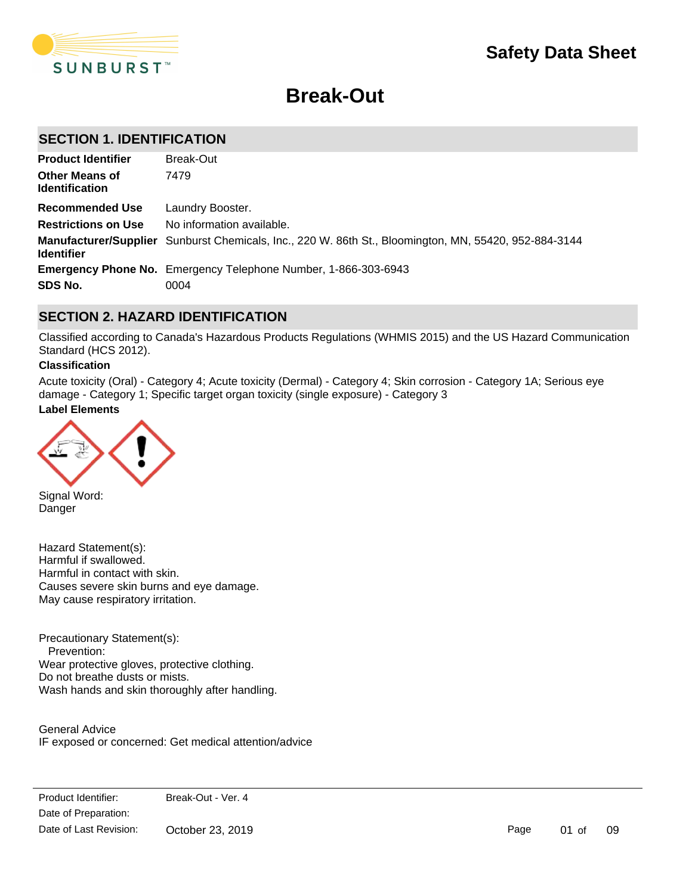

# **Break-Out**

# **SECTION 1. IDENTIFICATION**

| <b>Product Identifier</b>                      | Break-Out                                                                                             |
|------------------------------------------------|-------------------------------------------------------------------------------------------------------|
| <b>Other Means of</b><br><b>Identification</b> | 7479                                                                                                  |
| Recommended Use                                | Laundry Booster.                                                                                      |
| <b>Restrictions on Use</b>                     | No information available.                                                                             |
| <b>Identifier</b>                              | Manufacturer/Supplier Sunburst Chemicals, Inc., 220 W. 86th St., Bloomington, MN, 55420, 952-884-3144 |
|                                                | <b>Emergency Phone No.</b> Emergency Telephone Number, 1-866-303-6943                                 |
| SDS No.                                        | 0004                                                                                                  |

# **SECTION 2. HAZARD IDENTIFICATION**

Classified according to Canada's Hazardous Products Regulations (WHMIS 2015) and the US Hazard Communication Standard (HCS 2012).

### **Classification**

Acute toxicity (Oral) - Category 4; Acute toxicity (Dermal) - Category 4; Skin corrosion - Category 1A; Serious eye damage - Category 1; Specific target organ toxicity (single exposure) - Category 3

# **Label Elements**



Signal Word: Danger

Hazard Statement(s): Harmful if swallowed. Harmful in contact with skin. Causes severe skin burns and eye damage. May cause respiratory irritation.

Precautionary Statement(s): Prevention: Wear protective gloves, protective clothing. Do not breathe dusts or mists. Wash hands and skin thoroughly after handling.

General Advice IF exposed or concerned: Get medical attention/advice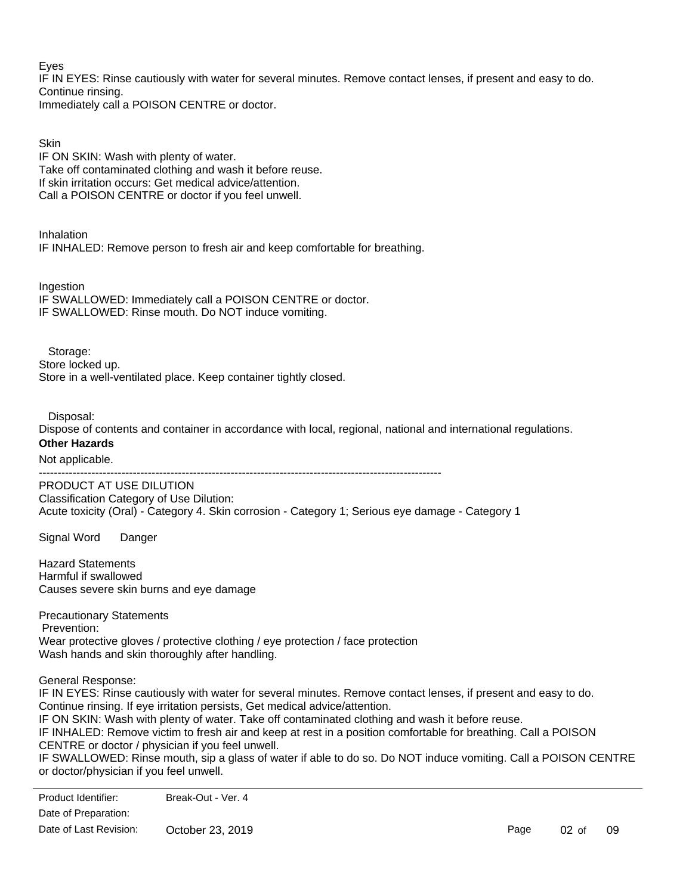Eyes

IF IN EYES: Rinse cautiously with water for several minutes. Remove contact lenses, if present and easy to do. Continue rinsing.

Immediately call a POISON CENTRE or doctor.

**Skin** 

IF ON SKIN: Wash with plenty of water. Take off contaminated clothing and wash it before reuse. If skin irritation occurs: Get medical advice/attention. Call a POISON CENTRE or doctor if you feel unwell.

Inhalation IF INHALED: Remove person to fresh air and keep comfortable for breathing.

**Ingestion** IF SWALLOWED: Immediately call a POISON CENTRE or doctor. IF SWALLOWED: Rinse mouth. Do NOT induce vomiting.

Storage: Store locked up. Store in a well-ventilated place. Keep container tightly closed.

# Disposal:

Dispose of contents and container in accordance with local, regional, national and international regulations. **Other Hazards**

Not applicable.

-----------------------------------------------------------------------------------------------------------

PRODUCT AT USE DILUTION Classification Category of Use Dilution: Acute toxicity (Oral) - Category 4. Skin corrosion - Category 1; Serious eye damage - Category 1

Signal Word Danger

Hazard Statements Harmful if swallowed Causes severe skin burns and eye damage

Precautionary Statements Prevention: Wear protective gloves / protective clothing / eye protection / face protection Wash hands and skin thoroughly after handling.

General Response:

IF IN EYES: Rinse cautiously with water for several minutes. Remove contact lenses, if present and easy to do. Continue rinsing. If eye irritation persists, Get medical advice/attention. IF ON SKIN: Wash with plenty of water. Take off contaminated clothing and wash it before reuse. IF INHALED: Remove victim to fresh air and keep at rest in a position comfortable for breathing. Call a POISON CENTRE or doctor / physician if you feel unwell.

IF SWALLOWED: Rinse mouth, sip a glass of water if able to do so. Do NOT induce vomiting. Call a POISON CENTRE or doctor/physician if you feel unwell.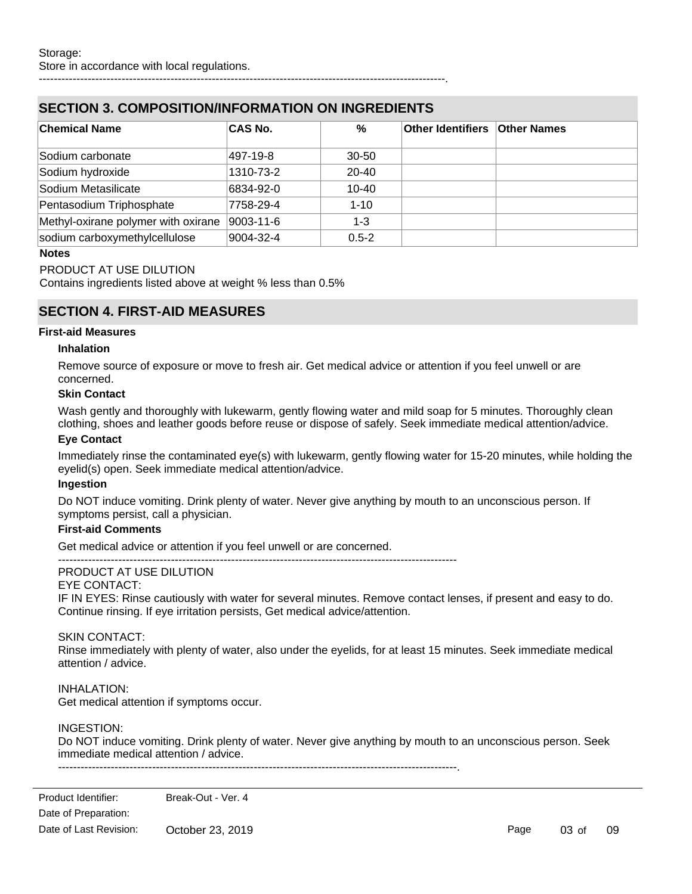# **SECTION 3. COMPOSITION/INFORMATION ON INGREDIENTS**

| <b>Chemical Name</b>                | <b>CAS No.</b> | %         | <b>Other Identifiers Other Names</b> |  |
|-------------------------------------|----------------|-----------|--------------------------------------|--|
| Sodium carbonate                    | 497-19-8       | $30 - 50$ |                                      |  |
| Sodium hydroxide                    | 1310-73-2      | $20 - 40$ |                                      |  |
| Sodium Metasilicate                 | 6834-92-0      | $10 - 40$ |                                      |  |
| Pentasodium Triphosphate            | 7758-29-4      | $1 - 10$  |                                      |  |
| Methyl-oxirane polymer with oxirane | 9003-11-6      | $1 - 3$   |                                      |  |
| sodium carboxymethylcellulose       | 9004-32-4      | $0.5 - 2$ |                                      |  |

------------------------------------------------------------------------------------------------------------.

### **Notes**

### PRODUCT AT USE DILUTION

Contains ingredients listed above at weight % less than 0.5%

# **SECTION 4. FIRST-AID MEASURES**

### **First-aid Measures**

### **Inhalation**

Remove source of exposure or move to fresh air. Get medical advice or attention if you feel unwell or are concerned.

### **Skin Contact**

Wash gently and thoroughly with lukewarm, gently flowing water and mild soap for 5 minutes. Thoroughly clean clothing, shoes and leather goods before reuse or dispose of safely. Seek immediate medical attention/advice.

#### **Eye Contact**

Immediately rinse the contaminated eye(s) with lukewarm, gently flowing water for 15-20 minutes, while holding the eyelid(s) open. Seek immediate medical attention/advice.

### **Ingestion**

Do NOT induce vomiting. Drink plenty of water. Never give anything by mouth to an unconscious person. If symptoms persist, call a physician.

### **First-aid Comments**

Get medical advice or attention if you feel unwell or are concerned.

----------------------------------------------------------------------------------------------------------

### PRODUCT AT USE DILUTION

### EYE CONTACT:

IF IN EYES: Rinse cautiously with water for several minutes. Remove contact lenses, if present and easy to do. Continue rinsing. If eye irritation persists, Get medical advice/attention.

### SKIN CONTACT:

Rinse immediately with plenty of water, also under the eyelids, for at least 15 minutes. Seek immediate medical attention / advice.

### INHALATION:

Get medical attention if symptoms occur.

### INGESTION:

Do NOT induce vomiting. Drink plenty of water. Never give anything by mouth to an unconscious person. Seek immediate medical attention / advice.

----------------------------------------------------------------------------------------------------------.

Page 03 of 09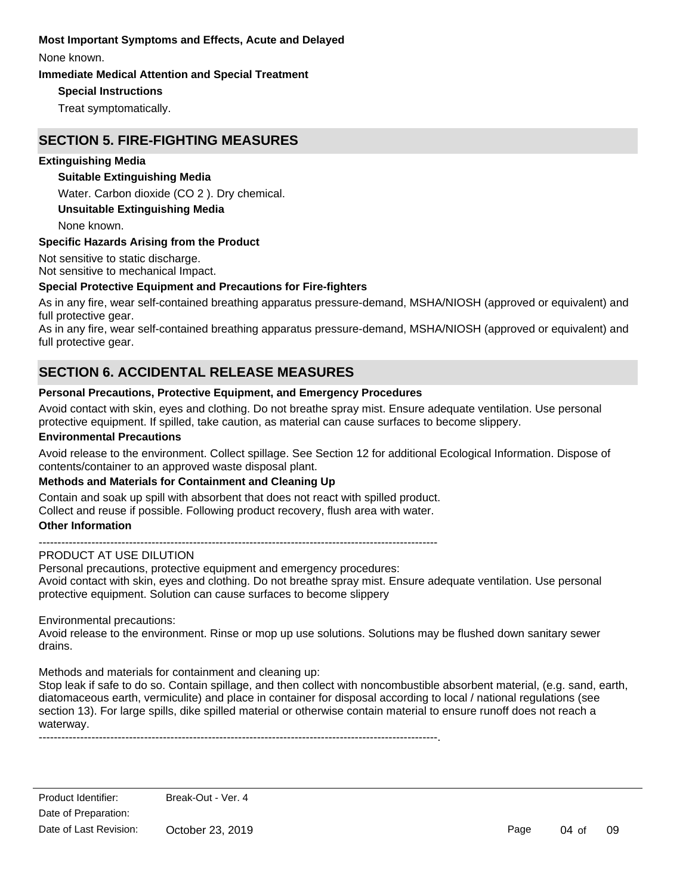### **Most Important Symptoms and Effects, Acute and Delayed**

None known.

### **Immediate Medical Attention and Special Treatment**

### **Special Instructions**

Treat symptomatically.

# **SECTION 5. FIRE-FIGHTING MEASURES**

### **Extinguishing Media**

### **Suitable Extinguishing Media**

Water. Carbon dioxide (CO 2 ). Dry chemical.

### **Unsuitable Extinguishing Media**

None known.

### **Specific Hazards Arising from the Product**

Not sensitive to static discharge. Not sensitive to mechanical Impact.

### **Special Protective Equipment and Precautions for Fire-fighters**

As in any fire, wear self-contained breathing apparatus pressure-demand, MSHA/NIOSH (approved or equivalent) and full protective gear.

As in any fire, wear self-contained breathing apparatus pressure-demand, MSHA/NIOSH (approved or equivalent) and full protective gear.

# **SECTION 6. ACCIDENTAL RELEASE MEASURES**

### **Personal Precautions, Protective Equipment, and Emergency Procedures**

Avoid contact with skin, eyes and clothing. Do not breathe spray mist. Ensure adequate ventilation. Use personal protective equipment. If spilled, take caution, as material can cause surfaces to become slippery.

### **Environmental Precautions**

Avoid release to the environment. Collect spillage. See Section 12 for additional Ecological Information. Dispose of contents/container to an approved waste disposal plant.

### **Methods and Materials for Containment and Cleaning Up**

Contain and soak up spill with absorbent that does not react with spilled product.

Collect and reuse if possible. Following product recovery, flush area with water.

### **Other Information**

----------------------------------------------------------------------------------------------------------

### PRODUCT AT USE DILUTION

Personal precautions, protective equipment and emergency procedures: Avoid contact with skin, eyes and clothing. Do not breathe spray mist. Ensure adequate ventilation. Use personal protective equipment. Solution can cause surfaces to become slippery

Environmental precautions:

Avoid release to the environment. Rinse or mop up use solutions. Solutions may be flushed down sanitary sewer drains.

Methods and materials for containment and cleaning up:

Stop leak if safe to do so. Contain spillage, and then collect with noncombustible absorbent material, (e.g. sand, earth, diatomaceous earth, vermiculite) and place in container for disposal according to local / national regulations (see section 13). For large spills, dike spilled material or otherwise contain material to ensure runoff does not reach a waterway.

----------------------------------------------------------------------------------------------------------.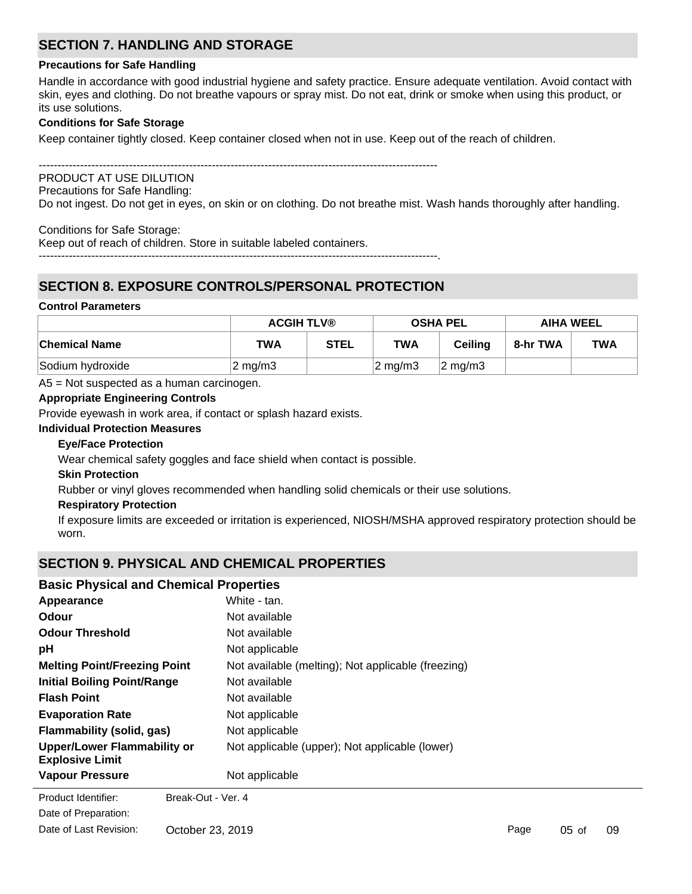# **SECTION 7. HANDLING AND STORAGE**

### **Precautions for Safe Handling**

Handle in accordance with good industrial hygiene and safety practice. Ensure adequate ventilation. Avoid contact with skin, eyes and clothing. Do not breathe vapours or spray mist. Do not eat, drink or smoke when using this product, or its use solutions.

### **Conditions for Safe Storage**

Keep container tightly closed. Keep container closed when not in use. Keep out of the reach of children.

----------------------------------------------------------------------------------------------------------

# PRODUCT AT USE DILUTION

Precautions for Safe Handling:

Do not ingest. Do not get in eyes, on skin or on clothing. Do not breathe mist. Wash hands thoroughly after handling.

Conditions for Safe Storage:

Keep out of reach of children. Store in suitable labeled containers. ----------------------------------------------------------------------------------------------------------.

# **SECTION 8. EXPOSURE CONTROLS/PERSONAL PROTECTION**

### **Control Parameters**

|                  | <b>ACGIH TLV®</b>  |             | <b>OSHA PEL</b>  |                  | <b>AIHA WEEL</b> |            |
|------------------|--------------------|-------------|------------------|------------------|------------------|------------|
| ∣Chemical Name   | <b>TWA</b>         | <b>STEL</b> | <b>TWA</b>       | <b>Ceiling</b>   | 8-hr TWA         | <b>TWA</b> |
| Sodium hydroxide | $2 \text{ mg/m}$ 3 |             | $2 \text{ mg/m}$ | $\sqrt{2}$ mg/m3 |                  |            |

A5 = Not suspected as a human carcinogen.

### **Appropriate Engineering Controls**

Provide eyewash in work area, if contact or splash hazard exists.

### **Individual Protection Measures**

### **Eye/Face Protection**

Wear chemical safety goggles and face shield when contact is possible.

### **Skin Protection**

Rubber or vinyl gloves recommended when handling solid chemicals or their use solutions.

### **Respiratory Protection**

If exposure limits are exceeded or irritation is experienced, NIOSH/MSHA approved respiratory protection should be worn.

# **SECTION 9. PHYSICAL AND CHEMICAL PROPERTIES**

# **Basic Physical and Chemical Properties**

| Appearance                                                   | White - tan.                                       |
|--------------------------------------------------------------|----------------------------------------------------|
| Odour                                                        | Not available                                      |
| <b>Odour Threshold</b>                                       | Not available                                      |
| рH                                                           | Not applicable                                     |
| <b>Melting Point/Freezing Point</b>                          | Not available (melting); Not applicable (freezing) |
| <b>Initial Boiling Point/Range</b>                           | Not available                                      |
| <b>Flash Point</b>                                           | Not available                                      |
| <b>Evaporation Rate</b>                                      | Not applicable                                     |
| Flammability (solid, gas)                                    | Not applicable                                     |
| <b>Upper/Lower Flammability or</b><br><b>Explosive Limit</b> | Not applicable (upper); Not applicable (lower)     |
| <b>Vapour Pressure</b>                                       | Not applicable                                     |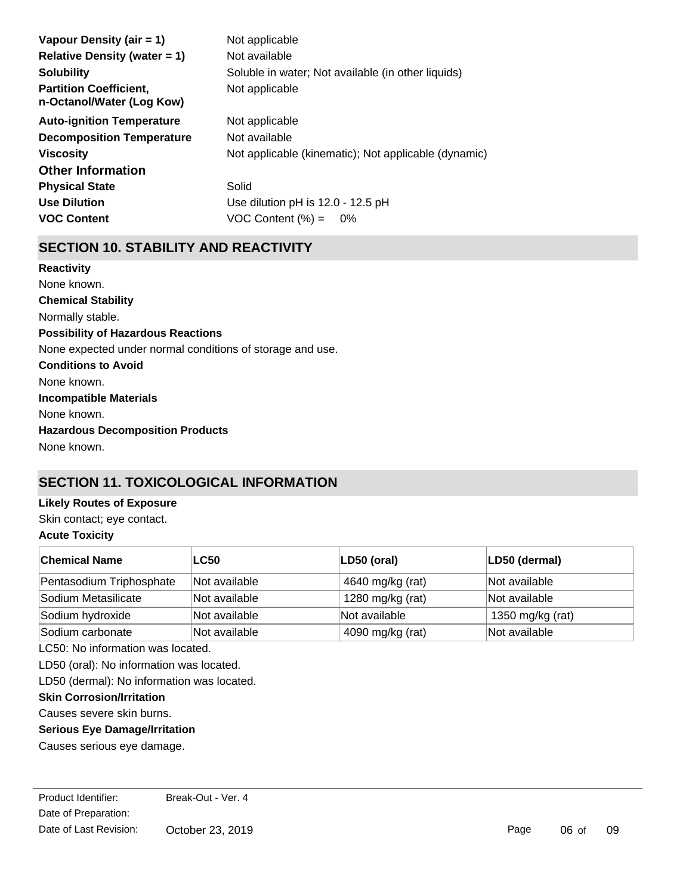| Vapour Density (air $= 1$ )                                | Not applicable                                       |
|------------------------------------------------------------|------------------------------------------------------|
| Relative Density (water $= 1$ )                            | Not available                                        |
| <b>Solubility</b>                                          | Soluble in water; Not available (in other liquids)   |
| <b>Partition Coefficient,</b><br>n-Octanol/Water (Log Kow) | Not applicable                                       |
| <b>Auto-ignition Temperature</b>                           | Not applicable                                       |
| <b>Decomposition Temperature</b>                           | Not available                                        |
| <b>Viscosity</b>                                           | Not applicable (kinematic); Not applicable (dynamic) |
| <b>Other Information</b>                                   |                                                      |
| <b>Physical State</b>                                      | Solid                                                |
| <b>Use Dilution</b>                                        | Use dilution pH is 12.0 - 12.5 pH                    |
| <b>VOC Content</b>                                         | $VOC$ Content $(\%) =$<br>$0\%$                      |

# **SECTION 10. STABILITY AND REACTIVITY**

**Chemical Stability** Normally stable. **Conditions to Avoid** None known. **Incompatible Materials** None known. **Hazardous Decomposition Products** None known. **Possibility of Hazardous Reactions** None expected under normal conditions of storage and use. **Reactivity** None known.

# **SECTION 11. TOXICOLOGICAL INFORMATION**

# **Likely Routes of Exposure**

Skin contact; eye contact.

# **Acute Toxicity**

| <b>Chemical Name</b>     | <b>LC50</b>   | LD50 (oral)      | LD50 (dermal)    |
|--------------------------|---------------|------------------|------------------|
| Pentasodium Triphosphate | Not available | 4640 mg/kg (rat) | Not available    |
| Sodium Metasilicate      | Not available | 1280 mg/kg (rat) | Not available    |
| Sodium hydroxide         | Not available | Not available    | 1350 mg/kg (rat) |
| Sodium carbonate         | Not available | 4090 mg/kg (rat) | Not available    |

LC50: No information was located.

LD50 (oral): No information was located.

LD50 (dermal): No information was located.

### **Skin Corrosion/Irritation**

Causes severe skin burns.

### **Serious Eye Damage/Irritation**

Causes serious eye damage.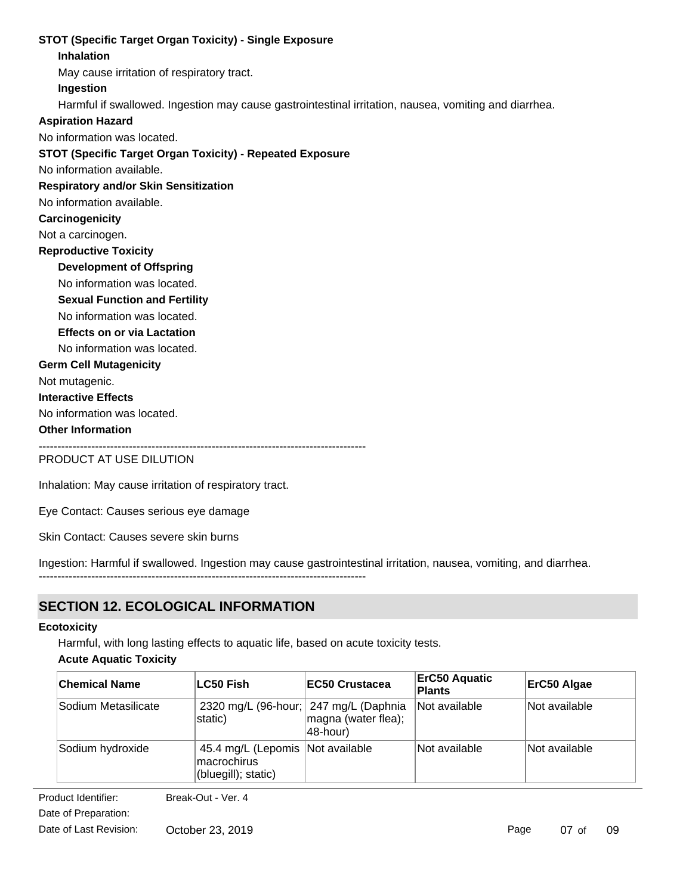### **STOT (Specific Target Organ Toxicity) - Single Exposure**

### **Inhalation**

May cause irritation of respiratory tract.

**Ingestion**

Harmful if swallowed. Ingestion may cause gastrointestinal irritation, nausea, vomiting and diarrhea.

### **Aspiration Hazard**

No information was located.

### **STOT (Specific Target Organ Toxicity) - Repeated Exposure**

No information available.

### **Respiratory and/or Skin Sensitization**

No information available.

### **Carcinogenicity**

Not a carcinogen.

### **Reproductive Toxicity**

**Development of Offspring**

- No information was located.
- **Sexual Function and Fertility**
- No information was located.
- **Effects on or via Lactation**

No information was located.

### **Germ Cell Mutagenicity**

Not mutagenic.

**Interactive Effects**

No information was located.

### **Other Information**

---------------------------------------------------------------------------------------

---------------------------------------------------------------------------------------

PRODUCT AT USE DILUTION

Inhalation: May cause irritation of respiratory tract.

Eye Contact: Causes serious eye damage

Skin Contact: Causes severe skin burns

Ingestion: Harmful if swallowed. Ingestion may cause gastrointestinal irritation, nausea, vomiting, and diarrhea.

# **SECTION 12. ECOLOGICAL INFORMATION**

### **Ecotoxicity**

Harmful, with long lasting effects to aquatic life, based on acute toxicity tests.

### **Acute Aquatic Toxicity**

| <b>Chemical Name</b> | LC50 Fish                                                                | <b>IEC50 Crustacea</b>          | <b>ErC50 Aquatic</b><br><b>Plants</b> | ErC50 Algae   |
|----------------------|--------------------------------------------------------------------------|---------------------------------|---------------------------------------|---------------|
| Sodium Metasilicate  | 2320 mg/L (96-hour; 247 mg/L (Daphnia<br>static)                         | magna (water flea);<br>48-hour) | Not available                         | Not available |
| Sodium hydroxide     | 45.4 mg/L (Lepomis   Not available<br>macrochirus<br>(bluegill); static) |                                 | Not available                         | Not available |

**Product Identifier:** Date of Preparation: Break-Out - Ver. 4

Date of Last Revision: October 23, 2019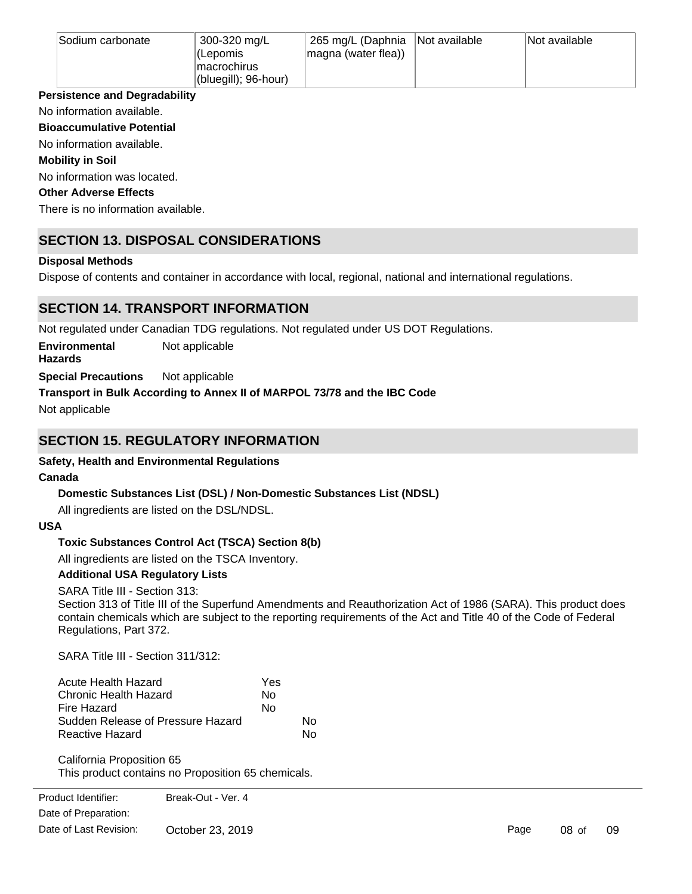| Sodium carbonate | 300-320 mg/L         | 265 mg/L (Daphnia Not available | Not available |
|------------------|----------------------|---------------------------------|---------------|
|                  | l (Lepomis           | magna (water flea))             |               |
|                  | macrochirus          |                                 |               |
|                  | (bluegill); 96-hour) |                                 |               |

### **Persistence and Degradability**

No information available.

**Bioaccumulative Potential**

### No information available.

### **Mobility in Soil**

No information was located.

### **Other Adverse Effects**

There is no information available.

# **SECTION 13. DISPOSAL CONSIDERATIONS**

### **Disposal Methods**

Dispose of contents and container in accordance with local, regional, national and international regulations.

# **SECTION 14. TRANSPORT INFORMATION**

Not regulated under Canadian TDG regulations. Not regulated under US DOT Regulations.

**Environmental** Not applicable

**Hazards**

**Special Precautions** Not applicable

# **Transport in Bulk According to Annex II of MARPOL 73/78 and the IBC Code**

Not applicable

# **SECTION 15. REGULATORY INFORMATION**

# **Safety, Health and Environmental Regulations**

### **Canada**

# **Domestic Substances List (DSL) / Non-Domestic Substances List (NDSL)**

All ingredients are listed on the DSL/NDSL.

### **USA**

# **Toxic Substances Control Act (TSCA) Section 8(b)**

All ingredients are listed on the TSCA Inventory.

# **Additional USA Regulatory Lists**

SARA Title III - Section 313:

Section 313 of Title III of the Superfund Amendments and Reauthorization Act of 1986 (SARA). This product does contain chemicals which are subject to the reporting requirements of the Act and Title 40 of the Code of Federal Regulations, Part 372.

SARA Title III - Section 311/312:

| Acute Health Hazard               | Yes |    |
|-----------------------------------|-----|----|
| Chronic Health Hazard             | N٥  |    |
| Fire Hazard                       | N٥  |    |
| Sudden Release of Pressure Hazard |     | N٥ |
| Reactive Hazard                   |     | N٥ |

California Proposition 65 This product contains no Proposition 65 chemicals.